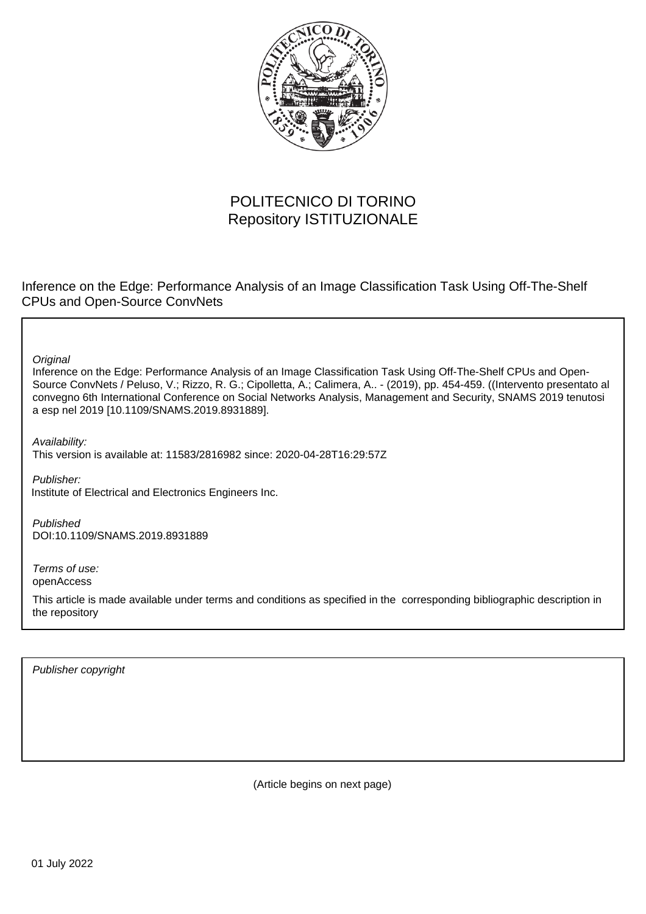

# POLITECNICO DI TORINO Repository ISTITUZIONALE

Inference on the Edge: Performance Analysis of an Image Classification Task Using Off-The-Shelf CPUs and Open-Source ConvNets

**Original** 

Inference on the Edge: Performance Analysis of an Image Classification Task Using Off-The-Shelf CPUs and Open-Source ConvNets / Peluso, V.; Rizzo, R. G.; Cipolletta, A.; Calimera, A.. - (2019), pp. 454-459. ((Intervento presentato al convegno 6th International Conference on Social Networks Analysis, Management and Security, SNAMS 2019 tenutosi a esp nel 2019 [10.1109/SNAMS.2019.8931889].

Availability: This version is available at: 11583/2816982 since: 2020-04-28T16:29:57Z

Publisher: Institute of Electrical and Electronics Engineers Inc.

Published DOI:10.1109/SNAMS.2019.8931889

Terms of use: openAccess

This article is made available under terms and conditions as specified in the corresponding bibliographic description in the repository

Publisher copyright

(Article begins on next page)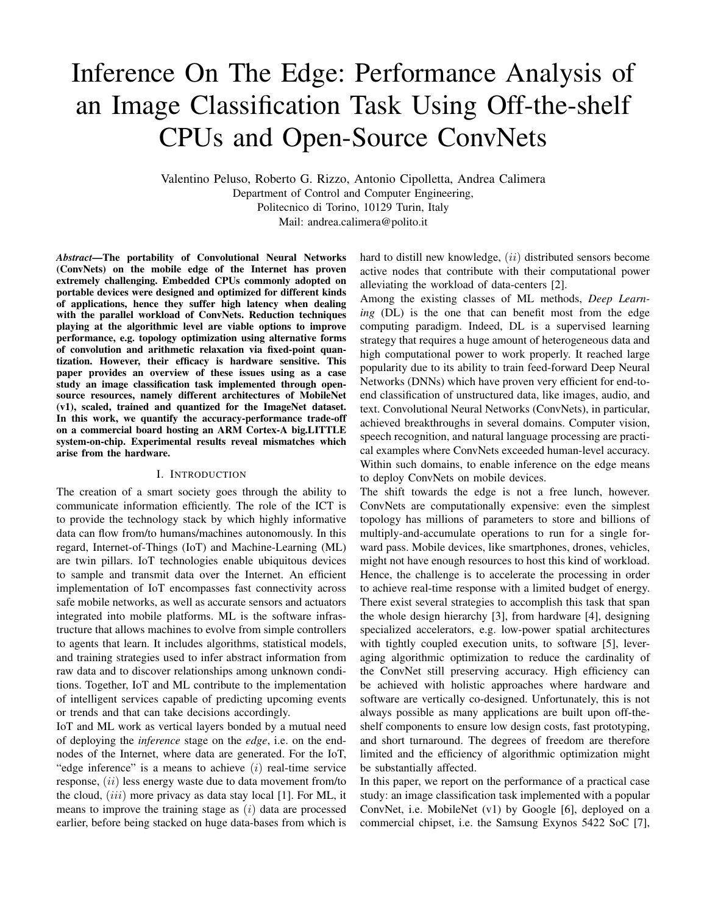# Inference On The Edge: Performance Analysis of an Image Classification Task Using Off-the-shelf CPUs and Open-Source ConvNets

Valentino Peluso, Roberto G. Rizzo, Antonio Cipolletta, Andrea Calimera Department of Control and Computer Engineering, Politecnico di Torino, 10129 Turin, Italy Mail: andrea.calimera@polito.it

*Abstract*—The portability of Convolutional Neural Networks (ConvNets) on the mobile edge of the Internet has proven extremely challenging. Embedded CPUs commonly adopted on portable devices were designed and optimized for different kinds of applications, hence they suffer high latency when dealing with the parallel workload of ConvNets. Reduction techniques playing at the algorithmic level are viable options to improve performance, e.g. topology optimization using alternative forms of convolution and arithmetic relaxation via fixed-point quantization. However, their efficacy is hardware sensitive. This paper provides an overview of these issues using as a case study an image classification task implemented through opensource resources, namely different architectures of MobileNet (v1), scaled, trained and quantized for the ImageNet dataset. In this work, we quantify the accuracy-performance trade-off on a commercial board hosting an ARM Cortex-A big.LITTLE system-on-chip. Experimental results reveal mismatches which arise from the hardware.

#### I. INTRODUCTION

The creation of a smart society goes through the ability to communicate information efficiently. The role of the ICT is to provide the technology stack by which highly informative data can flow from/to humans/machines autonomously. In this regard, Internet-of-Things (IoT) and Machine-Learning (ML) are twin pillars. IoT technologies enable ubiquitous devices to sample and transmit data over the Internet. An efficient implementation of IoT encompasses fast connectivity across safe mobile networks, as well as accurate sensors and actuators integrated into mobile platforms. ML is the software infrastructure that allows machines to evolve from simple controllers to agents that learn. It includes algorithms, statistical models, and training strategies used to infer abstract information from raw data and to discover relationships among unknown conditions. Together, IoT and ML contribute to the implementation of intelligent services capable of predicting upcoming events or trends and that can take decisions accordingly.

IoT and ML work as vertical layers bonded by a mutual need of deploying the *inference* stage on the *edge*, i.e. on the endnodes of the Internet, where data are generated. For the IoT, "edge inference" is a means to achieve  $(i)$  real-time service response, (ii) less energy waste due to data movement from/to the cloud,  $(iii)$  more privacy as data stay local [1]. For ML, it means to improve the training stage as  $(i)$  data are processed earlier, before being stacked on huge data-bases from which is

hard to distill new knowledge,  $(ii)$  distributed sensors become active nodes that contribute with their computational power alleviating the workload of data-centers [2].

Among the existing classes of ML methods, *Deep Learning* (DL) is the one that can benefit most from the edge computing paradigm. Indeed, DL is a supervised learning strategy that requires a huge amount of heterogeneous data and high computational power to work properly. It reached large popularity due to its ability to train feed-forward Deep Neural Networks (DNNs) which have proven very efficient for end-toend classification of unstructured data, like images, audio, and text. Convolutional Neural Networks (ConvNets), in particular, achieved breakthroughs in several domains. Computer vision, speech recognition, and natural language processing are practical examples where ConvNets exceeded human-level accuracy. Within such domains, to enable inference on the edge means to deploy ConvNets on mobile devices.

The shift towards the edge is not a free lunch, however. ConvNets are computationally expensive: even the simplest topology has millions of parameters to store and billions of multiply-and-accumulate operations to run for a single forward pass. Mobile devices, like smartphones, drones, vehicles, might not have enough resources to host this kind of workload. Hence, the challenge is to accelerate the processing in order to achieve real-time response with a limited budget of energy. There exist several strategies to accomplish this task that span the whole design hierarchy [3], from hardware [4], designing specialized accelerators, e.g. low-power spatial architectures with tightly coupled execution units, to software [5], leveraging algorithmic optimization to reduce the cardinality of the ConvNet still preserving accuracy. High efficiency can be achieved with holistic approaches where hardware and software are vertically co-designed. Unfortunately, this is not always possible as many applications are built upon off-theshelf components to ensure low design costs, fast prototyping, and short turnaround. The degrees of freedom are therefore limited and the efficiency of algorithmic optimization might be substantially affected.

In this paper, we report on the performance of a practical case study: an image classification task implemented with a popular ConvNet, i.e. MobileNet (v1) by Google [6], deployed on a commercial chipset, i.e. the Samsung Exynos 5422 SoC [7],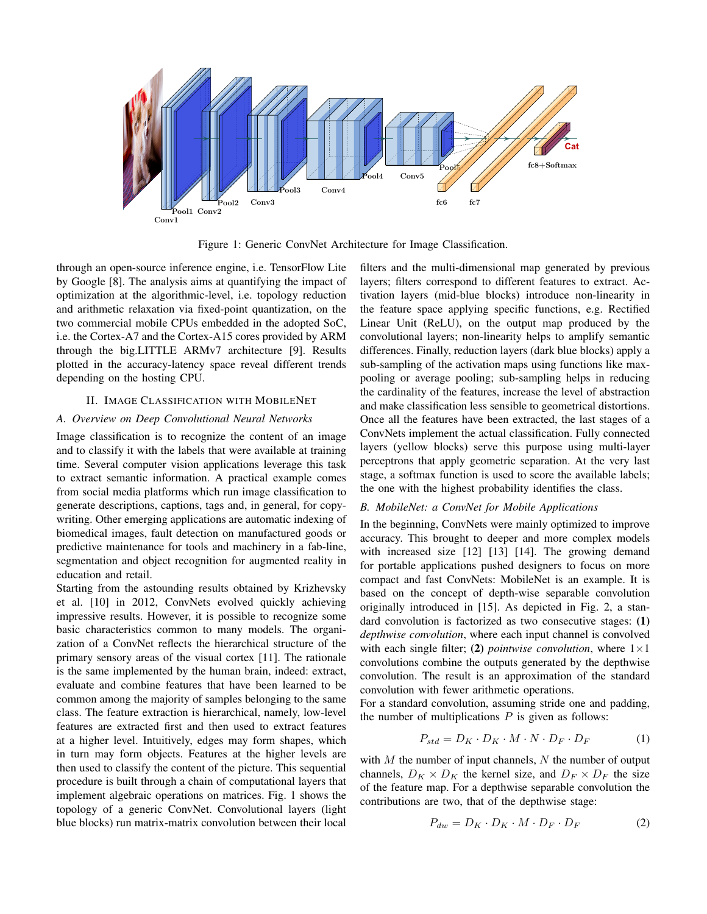

Figure 1: Generic ConvNet Architecture for Image Classification.

through an open-source inference engine, i.e. TensorFlow Lite by Google [8]. The analysis aims at quantifying the impact of optimization at the algorithmic-level, i.e. topology reduction and arithmetic relaxation via fixed-point quantization, on the two commercial mobile CPUs embedded in the adopted SoC, i.e. the Cortex-A7 and the Cortex-A15 cores provided by ARM through the big.LITTLE ARMv7 architecture [9]. Results plotted in the accuracy-latency space reveal different trends depending on the hosting CPU.

## II. IMAGE CLASSIFICATION WITH MOBILENET

### *A. Overview on Deep Convolutional Neural Networks*

Image classification is to recognize the content of an image and to classify it with the labels that were available at training time. Several computer vision applications leverage this task to extract semantic information. A practical example comes from social media platforms which run image classification to generate descriptions, captions, tags and, in general, for copywriting. Other emerging applications are automatic indexing of biomedical images, fault detection on manufactured goods or predictive maintenance for tools and machinery in a fab-line, segmentation and object recognition for augmented reality in education and retail.

Starting from the astounding results obtained by Krizhevsky et al. [10] in 2012, ConvNets evolved quickly achieving impressive results. However, it is possible to recognize some basic characteristics common to many models. The organization of a ConvNet reflects the hierarchical structure of the primary sensory areas of the visual cortex [11]. The rationale is the same implemented by the human brain, indeed: extract, evaluate and combine features that have been learned to be common among the majority of samples belonging to the same class. The feature extraction is hierarchical, namely, low-level features are extracted first and then used to extract features at a higher level. Intuitively, edges may form shapes, which in turn may form objects. Features at the higher levels are then used to classify the content of the picture. This sequential procedure is built through a chain of computational layers that implement algebraic operations on matrices. Fig. 1 shows the topology of a generic ConvNet. Convolutional layers (light blue blocks) run matrix-matrix convolution between their local

filters and the multi-dimensional map generated by previous layers; filters correspond to different features to extract. Activation layers (mid-blue blocks) introduce non-linearity in the feature space applying specific functions, e.g. Rectified Linear Unit (ReLU), on the output map produced by the convolutional layers; non-linearity helps to amplify semantic differences. Finally, reduction layers (dark blue blocks) apply a sub-sampling of the activation maps using functions like maxpooling or average pooling; sub-sampling helps in reducing the cardinality of the features, increase the level of abstraction and make classification less sensible to geometrical distortions. Once all the features have been extracted, the last stages of a ConvNets implement the actual classification. Fully connected layers (yellow blocks) serve this purpose using multi-layer perceptrons that apply geometric separation. At the very last stage, a softmax function is used to score the available labels; the one with the highest probability identifies the class.

# *B. MobileNet: a ConvNet for Mobile Applications*

In the beginning, ConvNets were mainly optimized to improve accuracy. This brought to deeper and more complex models with increased size [12] [13] [14]. The growing demand for portable applications pushed designers to focus on more compact and fast ConvNets: MobileNet is an example. It is based on the concept of depth-wise separable convolution originally introduced in [15]. As depicted in Fig. 2, a standard convolution is factorized as two consecutive stages: (1) *depthwise convolution*, where each input channel is convolved with each single filter; (2) *pointwise convolution*, where  $1 \times 1$ convolutions combine the outputs generated by the depthwise convolution. The result is an approximation of the standard convolution with fewer arithmetic operations.

For a standard convolution, assuming stride one and padding, the number of multiplications  $P$  is given as follows:

$$
P_{std} = D_K \cdot D_K \cdot M \cdot N \cdot D_F \cdot D_F \tag{1}
$$

with  $M$  the number of input channels,  $N$  the number of output channels,  $D_K \times D_K$  the kernel size, and  $D_F \times D_F$  the size of the feature map. For a depthwise separable convolution the contributions are two, that of the depthwise stage:

$$
P_{dw} = D_K \cdot D_K \cdot M \cdot D_F \cdot D_F \tag{2}
$$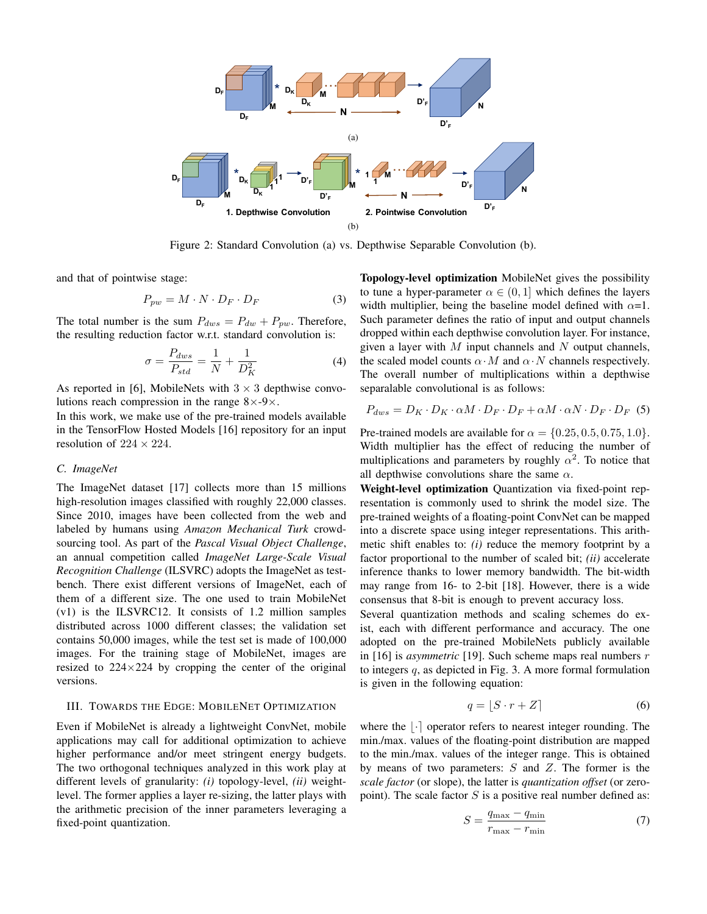

Figure 2: Standard Convolution (a) vs. Depthwise Separable Convolution (b).

and that of pointwise stage:

$$
P_{pw} = M \cdot N \cdot D_F \cdot D_F \tag{3}
$$

The total number is the sum  $P_{dws} = P_{dw} + P_{pw}$ . Therefore, the resulting reduction factor w.r.t. standard convolution is:

$$
\sigma = \frac{P_{dws}}{P_{std}} = \frac{1}{N} + \frac{1}{D_K^2}
$$
(4)

As reported in [6], MobileNets with  $3 \times 3$  depthwise convolutions reach compression in the range  $8\times-9\times$ .

In this work, we make use of the pre-trained models available in the TensorFlow Hosted Models [16] repository for an input resolution of  $224 \times 224$ .

### *C. ImageNet*

The ImageNet dataset [17] collects more than 15 millions high-resolution images classified with roughly 22,000 classes. Since 2010, images have been collected from the web and labeled by humans using *Amazon Mechanical Turk* crowdsourcing tool. As part of the *Pascal Visual Object Challenge*, an annual competition called *ImageNet Large-Scale Visual Recognition Challenge* (ILSVRC) adopts the ImageNet as testbench. There exist different versions of ImageNet, each of them of a different size. The one used to train MobileNet (v1) is the ILSVRC12. It consists of 1.2 million samples distributed across 1000 different classes; the validation set contains 50,000 images, while the test set is made of 100,000 images. For the training stage of MobileNet, images are resized to  $224 \times 224$  by cropping the center of the original versions.

#### III. TOWARDS THE EDGE: MOBILENET OPTIMIZATION

Even if MobileNet is already a lightweight ConvNet, mobile applications may call for additional optimization to achieve higher performance and/or meet stringent energy budgets. The two orthogonal techniques analyzed in this work play at different levels of granularity: *(i)* topology-level, *(ii)* weightlevel. The former applies a layer re-sizing, the latter plays with the arithmetic precision of the inner parameters leveraging a fixed-point quantization.

Topology-level optimization MobileNet gives the possibility to tune a hyper-parameter  $\alpha \in (0, 1]$  which defines the layers width multiplier, being the baseline model defined with  $\alpha=1$ . Such parameter defines the ratio of input and output channels dropped within each depthwise convolution layer. For instance, given a layer with  $M$  input channels and  $N$  output channels, the scaled model counts  $\alpha \cdot M$  and  $\alpha \cdot N$  channels respectively. The overall number of multiplications within a depthwise separalable convolutional is as follows:

$$
P_{dws} = D_K \cdot D_K \cdot \alpha M \cdot D_F \cdot D_F + \alpha M \cdot \alpha N \cdot D_F \cdot D_F \quad (5)
$$

Pre-trained models are available for  $\alpha = \{0.25, 0.5, 0.75, 1.0\}.$ Width multiplier has the effect of reducing the number of multiplications and parameters by roughly  $\alpha^2$ . To notice that all depthwise convolutions share the same  $\alpha$ .

Weight-level optimization Quantization via fixed-point representation is commonly used to shrink the model size. The pre-trained weights of a floating-point ConvNet can be mapped into a discrete space using integer representations. This arithmetic shift enables to: *(i)* reduce the memory footprint by a factor proportional to the number of scaled bit; *(ii)* accelerate inference thanks to lower memory bandwidth. The bit-width may range from 16- to 2-bit [18]. However, there is a wide consensus that 8-bit is enough to prevent accuracy loss.

Several quantization methods and scaling schemes do exist, each with different performance and accuracy. The one adopted on the pre-trained MobileNets publicly available in [16] is *asymmetric* [19]. Such scheme maps real numbers r to integers q, as depicted in Fig. 3. A more formal formulation is given in the following equation:

$$
q = \lfloor S \cdot r + Z \rfloor \tag{6}
$$

where the  $\lvert \cdot \rvert$  operator refers to nearest integer rounding. The min./max. values of the floating-point distribution are mapped to the min./max. values of the integer range. This is obtained by means of two parameters:  $S$  and  $Z$ . The former is the *scale factor* (or slope), the latter is *quantization offset* (or zeropoint). The scale factor  $S$  is a positive real number defined as:

$$
S = \frac{q_{\text{max}} - q_{\text{min}}}{r_{\text{max}} - r_{\text{min}}} \tag{7}
$$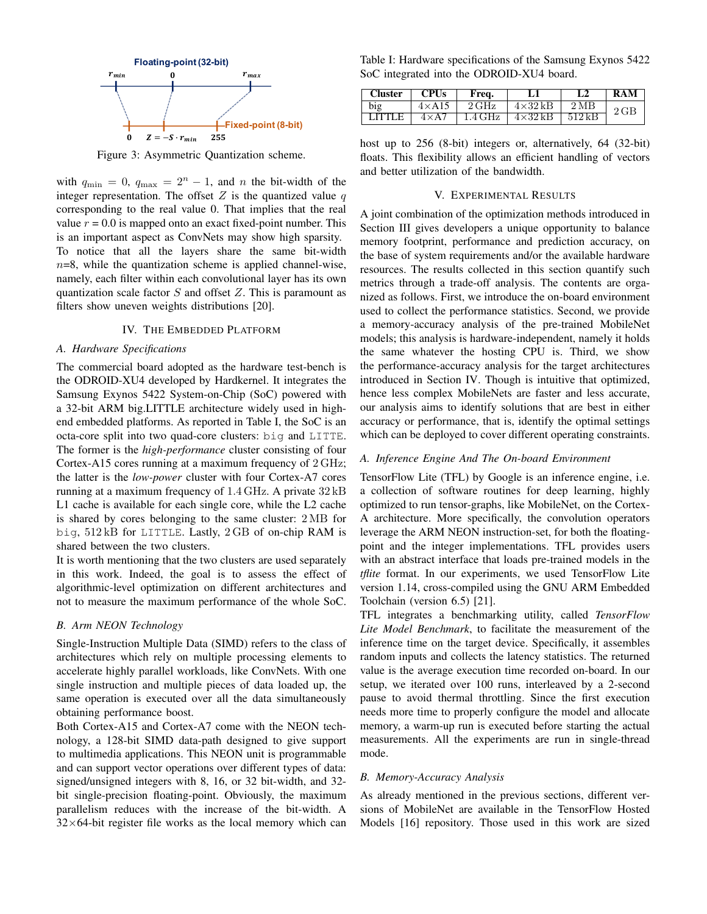

Figure 3: Asymmetric Quantization scheme.

with  $q_{\min} = 0$ ,  $q_{\max} = 2^n - 1$ , and n the bit-width of the integer representation. The offset  $Z$  is the quantized value  $q$ corresponding to the real value 0. That implies that the real value  $r = 0.0$  is mapped onto an exact fixed-point number. This is an important aspect as ConvNets may show high sparsity. To notice that all the layers share the same bit-width  $n=8$ , while the quantization scheme is applied channel-wise, namely, each filter within each convolutional layer has its own quantization scale factor  $S$  and offset  $Z$ . This is paramount as filters show uneven weights distributions [20].

# IV. THE EMBEDDED PLATFORM

#### *A. Hardware Specifications*

The commercial board adopted as the hardware test-bench is the ODROID-XU4 developed by Hardkernel. It integrates the Samsung Exynos 5422 System-on-Chip (SoC) powered with a 32-bit ARM big.LITTLE architecture widely used in highend embedded platforms. As reported in Table I, the SoC is an octa-core split into two quad-core clusters: big and LITTE. The former is the *high-performance* cluster consisting of four Cortex-A15 cores running at a maximum frequency of 2 GHz; the latter is the *low-power* cluster with four Cortex-A7 cores running at a maximum frequency of 1.4 GHz. A private 32 kB L1 cache is available for each single core, while the L2 cache is shared by cores belonging to the same cluster: 2 MB for big, 512 kB for LITTLE. Lastly, 2 GB of on-chip RAM is shared between the two clusters.

It is worth mentioning that the two clusters are used separately in this work. Indeed, the goal is to assess the effect of algorithmic-level optimization on different architectures and not to measure the maximum performance of the whole SoC.

#### *B. Arm NEON Technology*

Single-Instruction Multiple Data (SIMD) refers to the class of architectures which rely on multiple processing elements to accelerate highly parallel workloads, like ConvNets. With one single instruction and multiple pieces of data loaded up, the same operation is executed over all the data simultaneously obtaining performance boost.

Both Cortex-A15 and Cortex-A7 come with the NEON technology, a 128-bit SIMD data-path designed to give support to multimedia applications. This NEON unit is programmable and can support vector operations over different types of data: signed/unsigned integers with 8, 16, or 32 bit-width, and 32 bit single-precision floating-point. Obviously, the maximum parallelism reduces with the increase of the bit-width. A  $32\times64$ -bit register file works as the local memory which can

Table I: Hardware specifications of the Samsung Exynos 5422 SoC integrated into the ODROID-XU4 board.

| <b>Cluster</b> | <b>CPUs</b>   | Freq.             |                | L <sub>2</sub>   | RAM            |
|----------------|---------------|-------------------|----------------|------------------|----------------|
| big            | $4\times$ A15 | $2\,\mathrm{GHz}$ | $4\times32$ kB | $2\,\mathrm{MB}$ | $2\,\text{GB}$ |
| I ITTI F       | $4\times$ A7  | 1.4 GHz           | $4\times32$ kB | 512kR            |                |

host up to 256 (8-bit) integers or, alternatively, 64 (32-bit) floats. This flexibility allows an efficient handling of vectors and better utilization of the bandwidth.

#### V. EXPERIMENTAL RESULTS

A joint combination of the optimization methods introduced in Section III gives developers a unique opportunity to balance memory footprint, performance and prediction accuracy, on the base of system requirements and/or the available hardware resources. The results collected in this section quantify such metrics through a trade-off analysis. The contents are organized as follows. First, we introduce the on-board environment used to collect the performance statistics. Second, we provide a memory-accuracy analysis of the pre-trained MobileNet models; this analysis is hardware-independent, namely it holds the same whatever the hosting CPU is. Third, we show the performance-accuracy analysis for the target architectures introduced in Section IV. Though is intuitive that optimized, hence less complex MobileNets are faster and less accurate, our analysis aims to identify solutions that are best in either accuracy or performance, that is, identify the optimal settings which can be deployed to cover different operating constraints.

## *A. Inference Engine And The On-board Environment*

TensorFlow Lite (TFL) by Google is an inference engine, i.e. a collection of software routines for deep learning, highly optimized to run tensor-graphs, like MobileNet, on the Cortex-A architecture. More specifically, the convolution operators leverage the ARM NEON instruction-set, for both the floatingpoint and the integer implementations. TFL provides users with an abstract interface that loads pre-trained models in the *tflite* format. In our experiments, we used TensorFlow Lite version 1.14, cross-compiled using the GNU ARM Embedded Toolchain (version 6.5) [21].

TFL integrates a benchmarking utility, called *TensorFlow Lite Model Benchmark*, to facilitate the measurement of the inference time on the target device. Specifically, it assembles random inputs and collects the latency statistics. The returned value is the average execution time recorded on-board. In our setup, we iterated over 100 runs, interleaved by a 2-second pause to avoid thermal throttling. Since the first execution needs more time to properly configure the model and allocate memory, a warm-up run is executed before starting the actual measurements. All the experiments are run in single-thread mode.

# *B. Memory-Accuracy Analysis*

As already mentioned in the previous sections, different versions of MobileNet are available in the TensorFlow Hosted Models [16] repository. Those used in this work are sized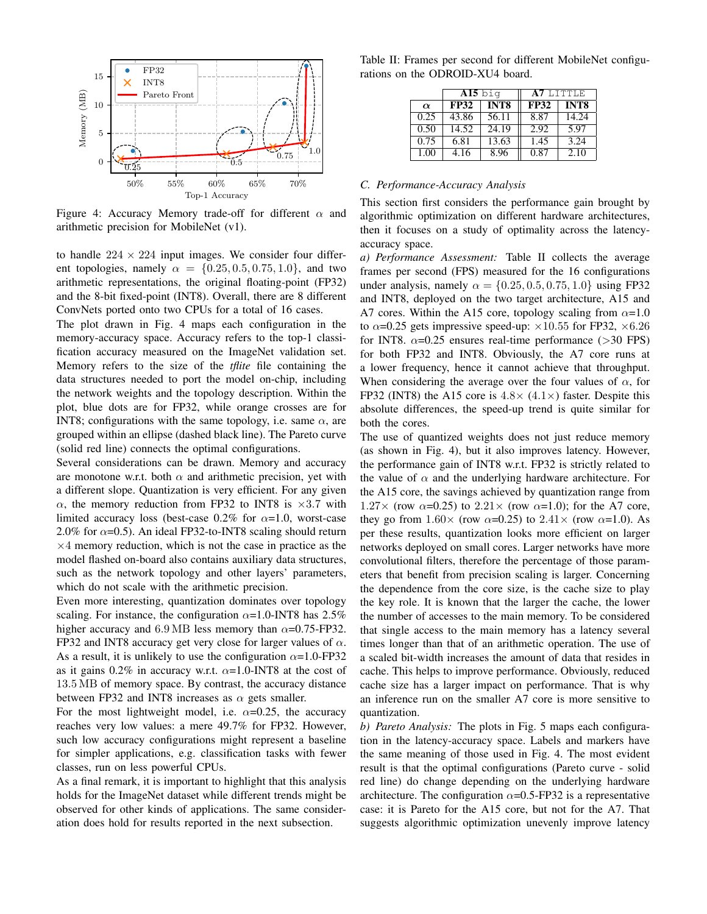

Figure 4: Accuracy Memory trade-off for different  $\alpha$  and arithmetic precision for MobileNet (v1).

to handle  $224 \times 224$  input images. We consider four different topologies, namely  $\alpha = \{0.25, 0.5, 0.75, 1.0\}$ , and two arithmetic representations, the original floating-point (FP32) and the 8-bit fixed-point (INT8). Overall, there are 8 different ConvNets ported onto two CPUs for a total of 16 cases.

The plot drawn in Fig. 4 maps each configuration in the memory-accuracy space. Accuracy refers to the top-1 classification accuracy measured on the ImageNet validation set. Memory refers to the size of the *tflite* file containing the data structures needed to port the model on-chip, including the network weights and the topology description. Within the plot, blue dots are for FP32, while orange crosses are for INT8; configurations with the same topology, i.e. same  $\alpha$ , are grouped within an ellipse (dashed black line). The Pareto curve (solid red line) connects the optimal configurations.

Several considerations can be drawn. Memory and accuracy are monotone w.r.t. both  $\alpha$  and arithmetic precision, yet with a different slope. Quantization is very efficient. For any given  $\alpha$ , the memory reduction from FP32 to INT8 is  $\times$ 3.7 with limited accuracy loss (best-case 0.2% for  $\alpha$ =1.0, worst-case 2.0% for  $\alpha$ =0.5). An ideal FP32-to-INT8 scaling should return  $\times$ 4 memory reduction, which is not the case in practice as the model flashed on-board also contains auxiliary data structures, such as the network topology and other layers' parameters, which do not scale with the arithmetic precision.

Even more interesting, quantization dominates over topology scaling. For instance, the configuration  $\alpha$ =1.0-INT8 has 2.5% higher accuracy and 6.9 MB less memory than  $\alpha$ =0.75-FP32. FP32 and INT8 accuracy get very close for larger values of  $\alpha$ . As a result, it is unlikely to use the configuration  $\alpha$ =1.0-FP32 as it gains 0.2% in accuracy w.r.t.  $\alpha$ =1.0-INT8 at the cost of 13.5 MB of memory space. By contrast, the accuracy distance between FP32 and INT8 increases as  $\alpha$  gets smaller.

For the most lightweight model, i.e.  $\alpha$ =0.25, the accuracy reaches very low values: a mere 49.7% for FP32. However, such low accuracy configurations might represent a baseline for simpler applications, e.g. classification tasks with fewer classes, run on less powerful CPUs.

As a final remark, it is important to highlight that this analysis holds for the ImageNet dataset while different trends might be observed for other kinds of applications. The same consideration does hold for results reported in the next subsection.

Table II: Frames per second for different MobileNet configurations on the ODROID-XU4 board.

|          | $\overline{\rm{A15}}$ big |                  | A7 LITTLE   |             |  |
|----------|---------------------------|------------------|-------------|-------------|--|
| $\alpha$ | <b>FP32</b>               | INT <sub>8</sub> | <b>FP32</b> | <b>INT8</b> |  |
| 0.25     | 43.86                     | 56.11            | 8.87        | 14.24       |  |
| 0.50     | 14.52                     | 24.19            | 2.92        | 5.97        |  |
| 0.75     | 6.81                      | 13.63            | 1.45        | 3.24        |  |
| 1.00     | 4.16                      | 8.96             | 0.87        | 2.10        |  |

#### *C. Performance-Accuracy Analysis*

This section first considers the performance gain brought by algorithmic optimization on different hardware architectures, then it focuses on a study of optimality across the latencyaccuracy space.

*a) Performance Assessment:* Table II collects the average frames per second (FPS) measured for the 16 configurations under analysis, namely  $\alpha = \{0.25, 0.5, 0.75, 1.0\}$  using FP32 and INT8, deployed on the two target architecture, A15 and A7 cores. Within the A15 core, topology scaling from  $\alpha$ =1.0 to  $\alpha$ =0.25 gets impressive speed-up:  $\times$ 10.55 for FP32,  $\times$ 6.26 for INT8.  $\alpha$ =0.25 ensures real-time performance (>30 FPS) for both FP32 and INT8. Obviously, the A7 core runs at a lower frequency, hence it cannot achieve that throughput. When considering the average over the four values of  $\alpha$ , for FP32 (INT8) the A15 core is  $4.8 \times (4.1 \times)$  faster. Despite this absolute differences, the speed-up trend is quite similar for both the cores.

The use of quantized weights does not just reduce memory (as shown in Fig. 4), but it also improves latency. However, the performance gain of INT8 w.r.t. FP32 is strictly related to the value of  $\alpha$  and the underlying hardware architecture. For the A15 core, the savings achieved by quantization range from  $1.27 \times$  (row  $\alpha$ =0.25) to  $2.21 \times$  (row  $\alpha$ =1.0); for the A7 core, they go from  $1.60 \times$  (row  $\alpha = 0.25$ ) to  $2.41 \times$  (row  $\alpha = 1.0$ ). As per these results, quantization looks more efficient on larger networks deployed on small cores. Larger networks have more convolutional filters, therefore the percentage of those parameters that benefit from precision scaling is larger. Concerning the dependence from the core size, is the cache size to play the key role. It is known that the larger the cache, the lower the number of accesses to the main memory. To be considered that single access to the main memory has a latency several times longer than that of an arithmetic operation. The use of a scaled bit-width increases the amount of data that resides in cache. This helps to improve performance. Obviously, reduced cache size has a larger impact on performance. That is why an inference run on the smaller A7 core is more sensitive to quantization.

*b) Pareto Analysis:* The plots in Fig. 5 maps each configuration in the latency-accuracy space. Labels and markers have the same meaning of those used in Fig. 4. The most evident result is that the optimal configurations (Pareto curve - solid red line) do change depending on the underlying hardware architecture. The configuration  $\alpha$ =0.5-FP32 is a representative case: it is Pareto for the A15 core, but not for the A7. That suggests algorithmic optimization unevenly improve latency